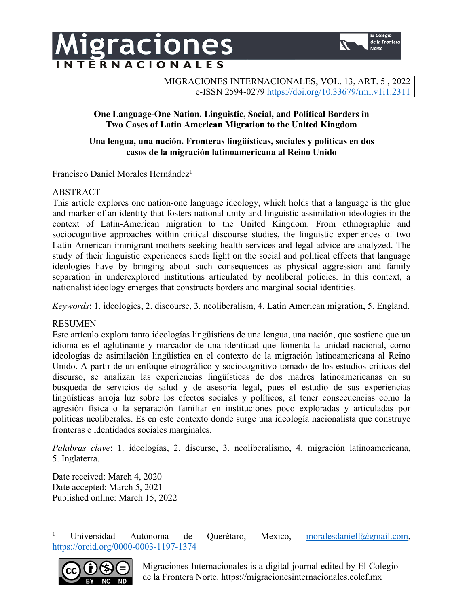

MIGRACIONES INTERNACIONALES, VOL. 13, ART. 5 , 2022 e-ISSN 2594-0279 https://doi.org/10.33679/rmi.v1i1.2311

# **One Language-One Nation. Linguistic, Social, and Political Borders in Two Cases of Latin American Migration to the United Kingdom**

# **Una lengua, una nación. Fronteras lingüísticas, sociales y políticas en dos casos de la migración latinoamericana al Reino Unido**

Francisco Daniel Morales Hernández<sup>1</sup>

igraciones

**NTERNACIONALES** 

# ABSTRACT

This article explores one nation-one language ideology, which holds that a language is the glue and marker of an identity that fosters national unity and linguistic assimilation ideologies in the context of Latin-American migration to the United Kingdom. From ethnographic and sociocognitive approaches within critical discourse studies, the linguistic experiences of two Latin American immigrant mothers seeking health services and legal advice are analyzed. The study of their linguistic experiences sheds light on the social and political effects that language ideologies have by bringing about such consequences as physical aggression and family separation in underexplored institutions articulated by neoliberal policies. In this context, a nationalist ideology emerges that constructs borders and marginal social identities.

*Keywords*: 1. ideologies, 2. discourse, 3. neoliberalism, 4. Latin American migration, 5. England.

# RESUMEN

Este artículo explora tanto ideologías lingüísticas de una lengua, una nación, que sostiene que un idioma es el aglutinante y marcador de una identidad que fomenta la unidad nacional, como ideologías de asimilación lingüística en el contexto de la migración latinoamericana al Reino Unido. A partir de un enfoque etnográfico y sociocognitivo tomado de los estudios críticos del discurso, se analizan las experiencias lingüísticas de dos madres latinoamericanas en su búsqueda de servicios de salud y de asesoría legal, pues el estudio de sus experiencias lingüísticas arroja luz sobre los efectos sociales y políticos, al tener consecuencias como la agresión física o la separación familiar en instituciones poco exploradas y articuladas por políticas neoliberales. Es en este contexto donde surge una ideología nacionalista que construye fronteras e identidades sociales marginales.

*Palabras clave*: 1. ideologías, 2. discurso, 3. neoliberalismo, 4. migración latinoamericana, 5. Inglaterra.

Date received: March 4, 2020 Date accepted: March 5, 2021 Published online: March 15, 2022

<sup>&</sup>lt;sup>1</sup> Universidad Autónoma de Querétaro, Mexico, moralesdanielf@gmail.com, https://orcid.org/0000-0003-1197-1374



Migraciones Internacionales is a digital journal edited by El Colegio de la Frontera Norte. https://migracionesinternacionales.colef.mx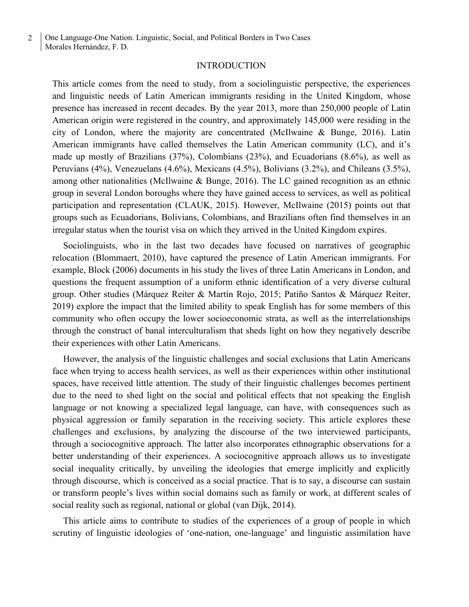## INTRODUCTION

This article comes from the need to study, from a sociolinguistic perspective, the experiences and linguistic needs of Latin American immigrants residing in the United Kingdom, whose presence has increased in recent decades. By the year 2013, more than 250,000 people of Latin American origin were registered in the country, and approximately 145,000 were residing in the city of London, where the majority are concentrated (McIlwaine & Bunge, 2016). Latin American immigrants have called themselves the Latin American community (LC), and it's made up mostly of Brazilians (37%), Colombians (23%), and Ecuadorians (8.6%), as well as Peruvians (4%), Venezuelans (4.6%), Mexicans (4.5%), Bolivians (3.2%), and Chileans (3.5%), among other nationalities (McIlwaine & Bunge, 2016). The LC gained recognition as an ethnic group in several London boroughs where they have gained access to services, as well as political participation and representation (CLAUK, 2015). However, McIlwaine (2015) points out that groups such as Ecuadorians, Bolivians, Colombians, and Brazilians often find themselves in an irregular status when the tourist visa on which they arrived in the United Kingdom expires.

Sociolinguists, who in the last two decades have focused on narratives of geographic relocation (Blommaert, 2010), have captured the presence of Latin American immigrants. For example, Block (2006) documents in his study the lives of three Latin Americans in London, and questions the frequent assumption of a uniform ethnic identification of a very diverse cultural group. Other studies (Márquez Reiter & Martín Rojo, 2015; Patiño Santos & Márquez Reiter, 2019) explore the impact that the limited ability to speak English has for some members of this community who often occupy the lower socioeconomic strata, as well as the interrelationships through the construct of banal interculturalism that sheds light on how they negatively describe their experiences with other Latin Americans.

However, the analysis of the linguistic challenges and social exclusions that Latin Americans face when trying to access health services, as well as their experiences within other institutional spaces, have received little attention. The study of their linguistic challenges becomes pertinent due to the need to shed light on the social and political effects that not speaking the English language or not knowing a specialized legal language, can have, with consequences such as physical aggression or family separation in the receiving society. This article explores these challenges and exclusions, by analyzing the discourse of the two interviewed participants, through a sociocognitive approach. The latter also incorporates ethnographic observations for a better understanding of their experiences. A sociocognitive approach allows us to investigate social inequality critically, by unveiling the ideologies that emerge implicitly and explicitly through discourse, which is conceived as a social practice. That is to say, a discourse can sustain or transform people's lives within social domains such as family or work, at different scales of social reality such as regional, national or global (van Dijk, 2014).

This article aims to contribute to studies of the experiences of a group of people in which scrutiny of linguistic ideologies of 'one-nation, one-language' and linguistic assimilation have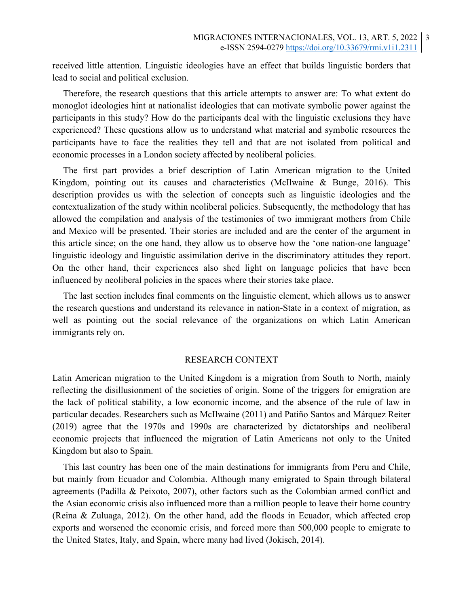received little attention. Linguistic ideologies have an effect that builds linguistic borders that lead to social and political exclusion.

Therefore, the research questions that this article attempts to answer are: To what extent do monoglot ideologies hint at nationalist ideologies that can motivate symbolic power against the participants in this study? How do the participants deal with the linguistic exclusions they have experienced? These questions allow us to understand what material and symbolic resources the participants have to face the realities they tell and that are not isolated from political and economic processes in a London society affected by neoliberal policies.

The first part provides a brief description of Latin American migration to the United Kingdom, pointing out its causes and characteristics (McIlwaine & Bunge, 2016). This description provides us with the selection of concepts such as linguistic ideologies and the contextualization of the study within neoliberal policies. Subsequently, the methodology that has allowed the compilation and analysis of the testimonies of two immigrant mothers from Chile and Mexico will be presented. Their stories are included and are the center of the argument in this article since; on the one hand, they allow us to observe how the 'one nation-one language' linguistic ideology and linguistic assimilation derive in the discriminatory attitudes they report. On the other hand, their experiences also shed light on language policies that have been influenced by neoliberal policies in the spaces where their stories take place.

The last section includes final comments on the linguistic element, which allows us to answer the research questions and understand its relevance in nation-State in a context of migration, as well as pointing out the social relevance of the organizations on which Latin American immigrants rely on.

### RESEARCH CONTEXT

Latin American migration to the United Kingdom is a migration from South to North, mainly reflecting the disillusionment of the societies of origin. Some of the triggers for emigration are the lack of political stability, a low economic income, and the absence of the rule of law in particular decades. Researchers such as McIlwaine (2011) and Patiño Santos and Márquez Reiter (2019) agree that the 1970s and 1990s are characterized by dictatorships and neoliberal economic projects that influenced the migration of Latin Americans not only to the United Kingdom but also to Spain.

This last country has been one of the main destinations for immigrants from Peru and Chile, but mainly from Ecuador and Colombia. Although many emigrated to Spain through bilateral agreements (Padilla & Peixoto, 2007), other factors such as the Colombian armed conflict and the Asian economic crisis also influenced more than a million people to leave their home country (Reina & Zuluaga, 2012). On the other hand, add the floods in Ecuador, which affected crop exports and worsened the economic crisis, and forced more than 500,000 people to emigrate to the United States, Italy, and Spain, where many had lived (Jokisch, 2014).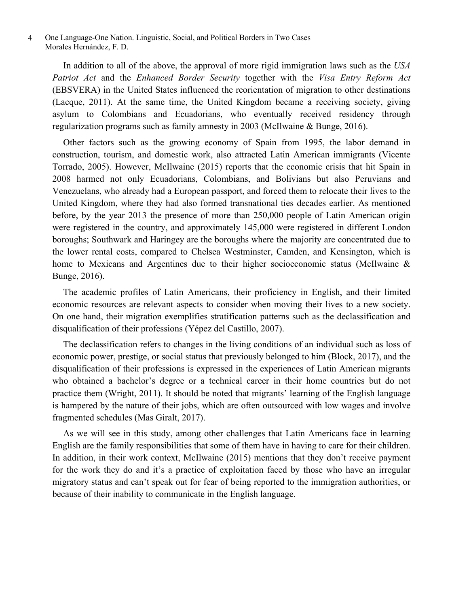In addition to all of the above, the approval of more rigid immigration laws such as the *USA Patriot Act* and the *Enhanced Border Security* together with the *Visa Entry Reform Act*  (EBSVERA) in the United States influenced the reorientation of migration to other destinations (Lacque, 2011). At the same time, the United Kingdom became a receiving society, giving asylum to Colombians and Ecuadorians, who eventually received residency through regularization programs such as family amnesty in 2003 (McIlwaine & Bunge, 2016).

Other factors such as the growing economy of Spain from 1995, the labor demand in construction, tourism, and domestic work, also attracted Latin American immigrants (Vicente Torrado, 2005). However, McIlwaine (2015) reports that the economic crisis that hit Spain in 2008 harmed not only Ecuadorians, Colombians, and Bolivians but also Peruvians and Venezuelans, who already had a European passport, and forced them to relocate their lives to the United Kingdom, where they had also formed transnational ties decades earlier. As mentioned before, by the year 2013 the presence of more than 250,000 people of Latin American origin were registered in the country, and approximately 145,000 were registered in different London boroughs; Southwark and Haringey are the boroughs where the majority are concentrated due to the lower rental costs, compared to Chelsea Westminster, Camden, and Kensington, which is home to Mexicans and Argentines due to their higher socioeconomic status (McIlwaine & Bunge, 2016).

The academic profiles of Latin Americans, their proficiency in English, and their limited economic resources are relevant aspects to consider when moving their lives to a new society. On one hand, their migration exemplifies stratification patterns such as the declassification and disqualification of their professions (Yépez del Castillo, 2007).

The declassification refers to changes in the living conditions of an individual such as loss of economic power, prestige, or social status that previously belonged to him (Block, 2017), and the disqualification of their professions is expressed in the experiences of Latin American migrants who obtained a bachelor's degree or a technical career in their home countries but do not practice them (Wright, 2011). It should be noted that migrants' learning of the English language is hampered by the nature of their jobs, which are often outsourced with low wages and involve fragmented schedules (Mas Giralt, 2017).

As we will see in this study, among other challenges that Latin Americans face in learning English are the family responsibilities that some of them have in having to care for their children. In addition, in their work context, McIlwaine (2015) mentions that they don't receive payment for the work they do and it's a practice of exploitation faced by those who have an irregular migratory status and can't speak out for fear of being reported to the immigration authorities, or because of their inability to communicate in the English language.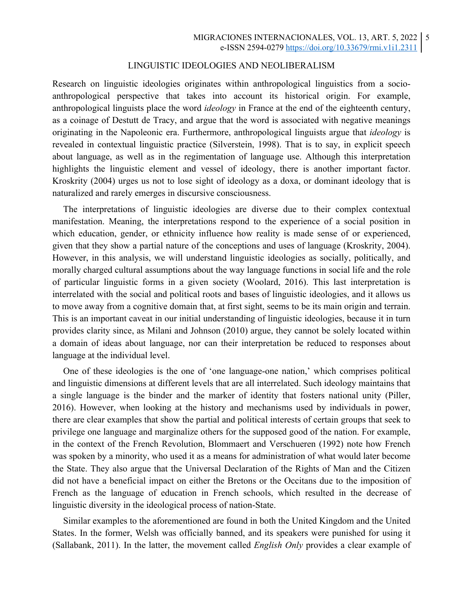## LINGUISTIC IDEOLOGIES AND NEOLIBERALISM

Research on linguistic ideologies originates within anthropological linguistics from a socioanthropological perspective that takes into account its historical origin. For example, anthropological linguists place the word *ideology* in France at the end of the eighteenth century, as a coinage of Destutt de Tracy, and argue that the word is associated with negative meanings originating in the Napoleonic era. Furthermore, anthropological linguists argue that *ideology* is revealed in contextual linguistic practice (Silverstein, 1998). That is to say, in explicit speech about language, as well as in the regimentation of language use. Although this interpretation highlights the linguistic element and vessel of ideology, there is another important factor. Kroskrity (2004) urges us not to lose sight of ideology as a doxa, or dominant ideology that is naturalized and rarely emerges in discursive consciousness.

The interpretations of linguistic ideologies are diverse due to their complex contextual manifestation. Meaning, the interpretations respond to the experience of a social position in which education, gender, or ethnicity influence how reality is made sense of or experienced, given that they show a partial nature of the conceptions and uses of language (Kroskrity, 2004). However, in this analysis, we will understand linguistic ideologies as socially, politically, and morally charged cultural assumptions about the way language functions in social life and the role of particular linguistic forms in a given society (Woolard, 2016). This last interpretation is interrelated with the social and political roots and bases of linguistic ideologies, and it allows us to move away from a cognitive domain that, at first sight, seems to be its main origin and terrain. This is an important caveat in our initial understanding of linguistic ideologies, because it in turn provides clarity since, as Milani and Johnson (2010) argue, they cannot be solely located within a domain of ideas about language, nor can their interpretation be reduced to responses about language at the individual level.

One of these ideologies is the one of 'one language-one nation,' which comprises political and linguistic dimensions at different levels that are all interrelated. Such ideology maintains that a single language is the binder and the marker of identity that fosters national unity (Piller, 2016). However, when looking at the history and mechanisms used by individuals in power, there are clear examples that show the partial and political interests of certain groups that seek to privilege one language and marginalize others for the supposed good of the nation. For example, in the context of the French Revolution, Blommaert and Verschueren (1992) note how French was spoken by a minority, who used it as a means for administration of what would later become the State. They also argue that the Universal Declaration of the Rights of Man and the Citizen did not have a beneficial impact on either the Bretons or the Occitans due to the imposition of French as the language of education in French schools, which resulted in the decrease of linguistic diversity in the ideological process of nation-State.

Similar examples to the aforementioned are found in both the United Kingdom and the United States. In the former, Welsh was officially banned, and its speakers were punished for using it (Sallabank, 2011). In the latter, the movement called *English Only* provides a clear example of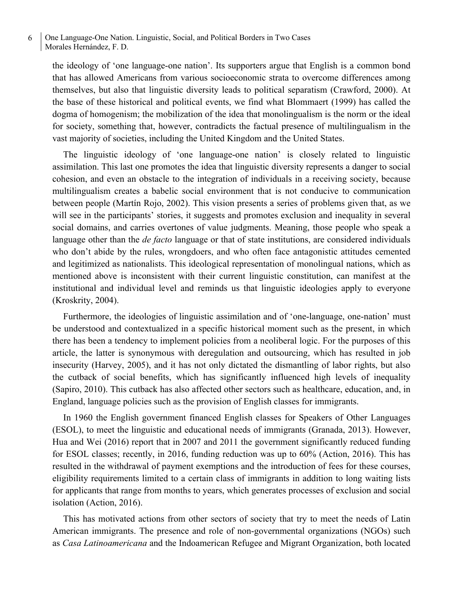the ideology of 'one language-one nation'. Its supporters argue that English is a common bond that has allowed Americans from various socioeconomic strata to overcome differences among themselves, but also that linguistic diversity leads to political separatism (Crawford, 2000). At the base of these historical and political events, we find what Blommaert (1999) has called the dogma of homogenism; the mobilization of the idea that monolingualism is the norm or the ideal for society, something that, however, contradicts the factual presence of multilingualism in the vast majority of societies, including the United Kingdom and the United States.

The linguistic ideology of 'one language-one nation' is closely related to linguistic assimilation. This last one promotes the idea that linguistic diversity represents a danger to social cohesion, and even an obstacle to the integration of individuals in a receiving society, because multilingualism creates a babelic social environment that is not conducive to communication between people (Martín Rojo, 2002). This vision presents a series of problems given that, as we will see in the participants' stories, it suggests and promotes exclusion and inequality in several social domains, and carries overtones of value judgments. Meaning, those people who speak a language other than the *de facto* language or that of state institutions, are considered individuals who don't abide by the rules, wrongdoers, and who often face antagonistic attitudes cemented and legitimized as nationalists. This ideological representation of monolingual nations, which as mentioned above is inconsistent with their current linguistic constitution, can manifest at the institutional and individual level and reminds us that linguistic ideologies apply to everyone (Kroskrity, 2004).

Furthermore, the ideologies of linguistic assimilation and of 'one-language, one-nation' must be understood and contextualized in a specific historical moment such as the present, in which there has been a tendency to implement policies from a neoliberal logic. For the purposes of this article, the latter is synonymous with deregulation and outsourcing, which has resulted in job insecurity (Harvey, 2005), and it has not only dictated the dismantling of labor rights, but also the cutback of social benefits, which has significantly influenced high levels of inequality (Sapiro, 2010). This cutback has also affected other sectors such as healthcare, education, and, in England, language policies such as the provision of English classes for immigrants.

In 1960 the English government financed English classes for Speakers of Other Languages (ESOL), to meet the linguistic and educational needs of immigrants (Granada, 2013). However, Hua and Wei (2016) report that in 2007 and 2011 the government significantly reduced funding for ESOL classes; recently, in 2016, funding reduction was up to 60% (Action, 2016). This has resulted in the withdrawal of payment exemptions and the introduction of fees for these courses, eligibility requirements limited to a certain class of immigrants in addition to long waiting lists for applicants that range from months to years, which generates processes of exclusion and social isolation (Action, 2016).

This has motivated actions from other sectors of society that try to meet the needs of Latin American immigrants. The presence and role of non-governmental organizations (NGOs) such as *Casa Latinoamericana* and the Indoamerican Refugee and Migrant Organization, both located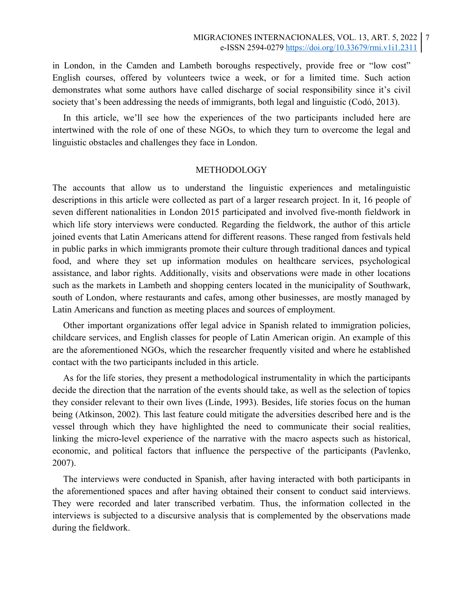in London, in the Camden and Lambeth boroughs respectively, provide free or "low cost" English courses, offered by volunteers twice a week, or for a limited time. Such action demonstrates what some authors have called discharge of social responsibility since it's civil society that's been addressing the needs of immigrants, both legal and linguistic (Codó, 2013).

In this article, we'll see how the experiences of the two participants included here are intertwined with the role of one of these NGOs, to which they turn to overcome the legal and linguistic obstacles and challenges they face in London.

#### METHODOLOGY

The accounts that allow us to understand the linguistic experiences and metalinguistic descriptions in this article were collected as part of a larger research project. In it, 16 people of seven different nationalities in London 2015 participated and involved five-month fieldwork in which life story interviews were conducted. Regarding the fieldwork, the author of this article joined events that Latin Americans attend for different reasons. These ranged from festivals held in public parks in which immigrants promote their culture through traditional dances and typical food, and where they set up information modules on healthcare services, psychological assistance, and labor rights. Additionally, visits and observations were made in other locations such as the markets in Lambeth and shopping centers located in the municipality of Southwark, south of London, where restaurants and cafes, among other businesses, are mostly managed by Latin Americans and function as meeting places and sources of employment.

Other important organizations offer legal advice in Spanish related to immigration policies, childcare services, and English classes for people of Latin American origin. An example of this are the aforementioned NGOs, which the researcher frequently visited and where he established contact with the two participants included in this article.

As for the life stories, they present a methodological instrumentality in which the participants decide the direction that the narration of the events should take, as well as the selection of topics they consider relevant to their own lives (Linde, 1993). Besides, life stories focus on the human being (Atkinson, 2002). This last feature could mitigate the adversities described here and is the vessel through which they have highlighted the need to communicate their social realities, linking the micro-level experience of the narrative with the macro aspects such as historical, economic, and political factors that influence the perspective of the participants (Pavlenko, 2007).

The interviews were conducted in Spanish, after having interacted with both participants in the aforementioned spaces and after having obtained their consent to conduct said interviews. They were recorded and later transcribed verbatim. Thus, the information collected in the interviews is subjected to a discursive analysis that is complemented by the observations made during the fieldwork.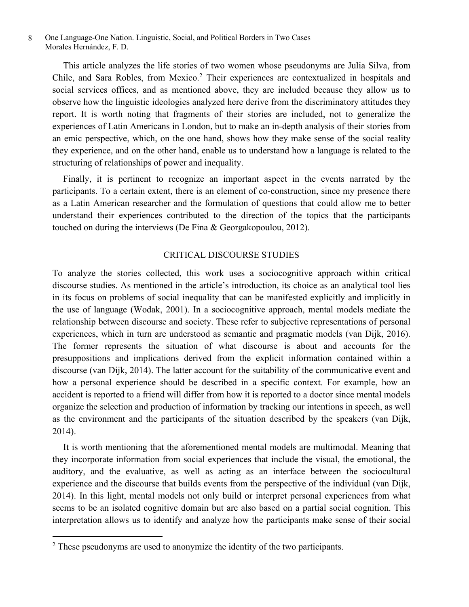This article analyzes the life stories of two women whose pseudonyms are Julia Silva, from Chile, and Sara Robles, from Mexico.2 Their experiences are contextualized in hospitals and social services offices, and as mentioned above, they are included because they allow us to observe how the linguistic ideologies analyzed here derive from the discriminatory attitudes they report. It is worth noting that fragments of their stories are included, not to generalize the experiences of Latin Americans in London, but to make an in-depth analysis of their stories from an emic perspective, which, on the one hand, shows how they make sense of the social reality they experience, and on the other hand, enable us to understand how a language is related to the structuring of relationships of power and inequality.

Finally, it is pertinent to recognize an important aspect in the events narrated by the participants. To a certain extent, there is an element of co-construction, since my presence there as a Latin American researcher and the formulation of questions that could allow me to better understand their experiences contributed to the direction of the topics that the participants touched on during the interviews (De Fina & Georgakopoulou, 2012).

#### CRITICAL DISCOURSE STUDIES

To analyze the stories collected, this work uses a sociocognitive approach within critical discourse studies. As mentioned in the article's introduction, its choice as an analytical tool lies in its focus on problems of social inequality that can be manifested explicitly and implicitly in the use of language (Wodak, 2001). In a sociocognitive approach, mental models mediate the relationship between discourse and society. These refer to subjective representations of personal experiences, which in turn are understood as semantic and pragmatic models (van Dijk, 2016). The former represents the situation of what discourse is about and accounts for the presuppositions and implications derived from the explicit information contained within a discourse (van Dijk, 2014). The latter account for the suitability of the communicative event and how a personal experience should be described in a specific context. For example, how an accident is reported to a friend will differ from how it is reported to a doctor since mental models organize the selection and production of information by tracking our intentions in speech, as well as the environment and the participants of the situation described by the speakers (van Dijk, 2014).

It is worth mentioning that the aforementioned mental models are multimodal. Meaning that they incorporate information from social experiences that include the visual, the emotional, the auditory, and the evaluative, as well as acting as an interface between the sociocultural experience and the discourse that builds events from the perspective of the individual (van Dijk, 2014). In this light, mental models not only build or interpret personal experiences from what seems to be an isolated cognitive domain but are also based on a partial social cognition. This interpretation allows us to identify and analyze how the participants make sense of their social

<sup>&</sup>lt;sup>2</sup> These pseudonyms are used to anonymize the identity of the two participants.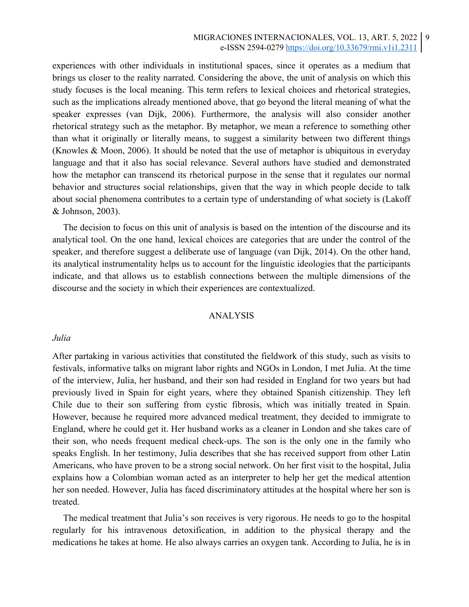experiences with other individuals in institutional spaces, since it operates as a medium that brings us closer to the reality narrated. Considering the above, the unit of analysis on which this study focuses is the local meaning. This term refers to lexical choices and rhetorical strategies, such as the implications already mentioned above, that go beyond the literal meaning of what the speaker expresses (van Dijk, 2006). Furthermore, the analysis will also consider another rhetorical strategy such as the metaphor. By metaphor, we mean a reference to something other than what it originally or literally means, to suggest a similarity between two different things (Knowles & Moon, 2006). It should be noted that the use of metaphor is ubiquitous in everyday language and that it also has social relevance. Several authors have studied and demonstrated how the metaphor can transcend its rhetorical purpose in the sense that it regulates our normal behavior and structures social relationships, given that the way in which people decide to talk about social phenomena contributes to a certain type of understanding of what society is (Lakoff & Johnson, 2003).

The decision to focus on this unit of analysis is based on the intention of the discourse and its analytical tool. On the one hand, lexical choices are categories that are under the control of the speaker, and therefore suggest a deliberate use of language (van Dijk, 2014). On the other hand, its analytical instrumentality helps us to account for the linguistic ideologies that the participants indicate, and that allows us to establish connections between the multiple dimensions of the discourse and the society in which their experiences are contextualized.

## ANALYSIS

#### *Julia*

After partaking in various activities that constituted the fieldwork of this study, such as visits to festivals, informative talks on migrant labor rights and NGOs in London, I met Julia. At the time of the interview, Julia, her husband, and their son had resided in England for two years but had previously lived in Spain for eight years, where they obtained Spanish citizenship. They left Chile due to their son suffering from cystic fibrosis, which was initially treated in Spain. However, because he required more advanced medical treatment, they decided to immigrate to England, where he could get it. Her husband works as a cleaner in London and she takes care of their son, who needs frequent medical check-ups. The son is the only one in the family who speaks English. In her testimony, Julia describes that she has received support from other Latin Americans, who have proven to be a strong social network. On her first visit to the hospital, Julia explains how a Colombian woman acted as an interpreter to help her get the medical attention her son needed. However, Julia has faced discriminatory attitudes at the hospital where her son is treated.

The medical treatment that Julia's son receives is very rigorous. He needs to go to the hospital regularly for his intravenous detoxification, in addition to the physical therapy and the medications he takes at home. He also always carries an oxygen tank. According to Julia, he is in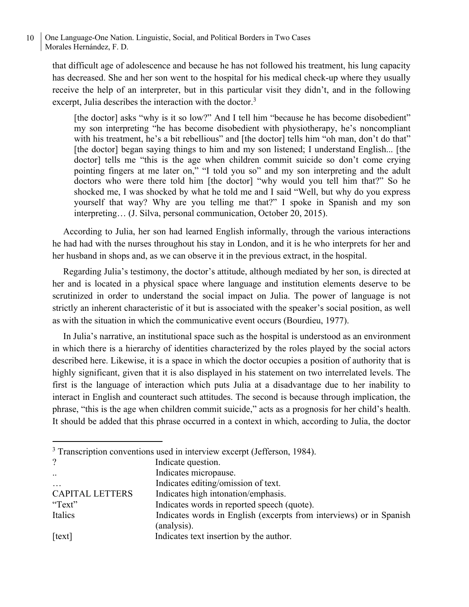that difficult age of adolescence and because he has not followed his treatment, his lung capacity has decreased. She and her son went to the hospital for his medical check-up where they usually receive the help of an interpreter, but in this particular visit they didn't, and in the following excerpt, Julia describes the interaction with the doctor.<sup>3</sup>

[the doctor] asks "why is it so low?" And I tell him "because he has become disobedient" my son interpreting "he has become disobedient with physiotherapy, he's noncompliant with his treatment, he's a bit rebellious" and [the doctor] tells him "oh man, don't do that" [the doctor] began saying things to him and my son listened; I understand English... [the doctor] tells me "this is the age when children commit suicide so don't come crying pointing fingers at me later on," "I told you so" and my son interpreting and the adult doctors who were there told him [the doctor] "why would you tell him that?" So he shocked me, I was shocked by what he told me and I said "Well, but why do you express yourself that way? Why are you telling me that?" I spoke in Spanish and my son interpreting… (J. Silva, personal communication, October 20, 2015).

According to Julia, her son had learned English informally, through the various interactions he had had with the nurses throughout his stay in London, and it is he who interprets for her and her husband in shops and, as we can observe it in the previous extract, in the hospital.

Regarding Julia's testimony, the doctor's attitude, although mediated by her son, is directed at her and is located in a physical space where language and institution elements deserve to be scrutinized in order to understand the social impact on Julia. The power of language is not strictly an inherent characteristic of it but is associated with the speaker's social position, as well as with the situation in which the communicative event occurs (Bourdieu, 1977).

In Julia's narrative, an institutional space such as the hospital is understood as an environment in which there is a hierarchy of identities characterized by the roles played by the social actors described here. Likewise, it is a space in which the doctor occupies a position of authority that is highly significant, given that it is also displayed in his statement on two interrelated levels. The first is the language of interaction which puts Julia at a disadvantage due to her inability to interact in English and counteract such attitudes. The second is because through implication, the phrase, "this is the age when children commit suicide," acts as a prognosis for her child's health. It should be added that this phrase occurred in a context in which, according to Julia, the doctor

<sup>3</sup> Transcription conventions used in interview excerpt (Jefferson, 1984).

| $\gamma$               | Indicate question.                                                  |
|------------------------|---------------------------------------------------------------------|
| $\cdot$ .              | Indicates micropause.                                               |
| $\cdots$               | Indicates editing/omission of text.                                 |
| <b>CAPITAL LETTERS</b> | Indicates high intonation/emphasis.                                 |
| "Text"                 | Indicates words in reported speech (quote).                         |
| Italics                | Indicates words in English (excerpts from interviews) or in Spanish |
|                        | (analysis).                                                         |
| [text]                 | Indicates text insertion by the author.                             |
|                        |                                                                     |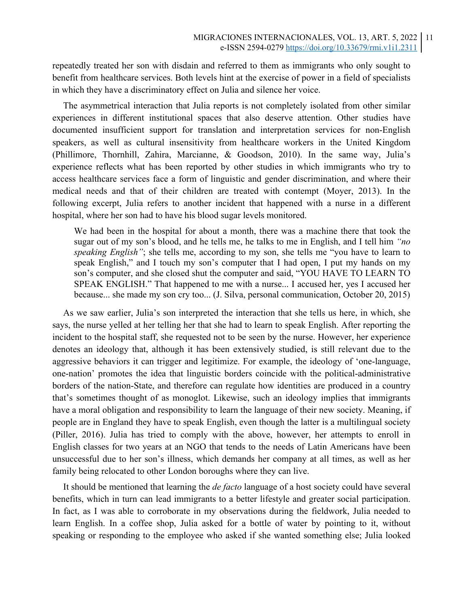repeatedly treated her son with disdain and referred to them as immigrants who only sought to benefit from healthcare services. Both levels hint at the exercise of power in a field of specialists in which they have a discriminatory effect on Julia and silence her voice.

The asymmetrical interaction that Julia reports is not completely isolated from other similar experiences in different institutional spaces that also deserve attention. Other studies have documented insufficient support for translation and interpretation services for non-English speakers, as well as cultural insensitivity from healthcare workers in the United Kingdom (Phillimore, Thornhill, Zahira, Marcianne, & Goodson, 2010). In the same way, Julia's experience reflects what has been reported by other studies in which immigrants who try to access healthcare services face a form of linguistic and gender discrimination, and where their medical needs and that of their children are treated with contempt (Moyer, 2013). In the following excerpt, Julia refers to another incident that happened with a nurse in a different hospital, where her son had to have his blood sugar levels monitored.

We had been in the hospital for about a month, there was a machine there that took the sugar out of my son's blood, and he tells me, he talks to me in English, and I tell him *"no speaking English"*; she tells me, according to my son, she tells me "you have to learn to speak English," and I touch my son's computer that I had open, I put my hands on my son's computer, and she closed shut the computer and said, "YOU HAVE TO LEARN TO SPEAK ENGLISH." That happened to me with a nurse... I accused her, yes I accused her because... she made my son cry too... (J. Silva, personal communication, October 20, 2015)

As we saw earlier, Julia's son interpreted the interaction that she tells us here, in which, she says, the nurse yelled at her telling her that she had to learn to speak English. After reporting the incident to the hospital staff, she requested not to be seen by the nurse. However, her experience denotes an ideology that, although it has been extensively studied, is still relevant due to the aggressive behaviors it can trigger and legitimize. For example, the ideology of 'one-language, one-nation' promotes the idea that linguistic borders coincide with the political-administrative borders of the nation-State, and therefore can regulate how identities are produced in a country that's sometimes thought of as monoglot. Likewise, such an ideology implies that immigrants have a moral obligation and responsibility to learn the language of their new society. Meaning, if people are in England they have to speak English, even though the latter is a multilingual society (Piller, 2016). Julia has tried to comply with the above, however, her attempts to enroll in English classes for two years at an NGO that tends to the needs of Latin Americans have been unsuccessful due to her son's illness, which demands her company at all times, as well as her family being relocated to other London boroughs where they can live.

It should be mentioned that learning the *de facto* language of a host society could have several benefits, which in turn can lead immigrants to a better lifestyle and greater social participation. In fact, as I was able to corroborate in my observations during the fieldwork, Julia needed to learn English. In a coffee shop, Julia asked for a bottle of water by pointing to it, without speaking or responding to the employee who asked if she wanted something else; Julia looked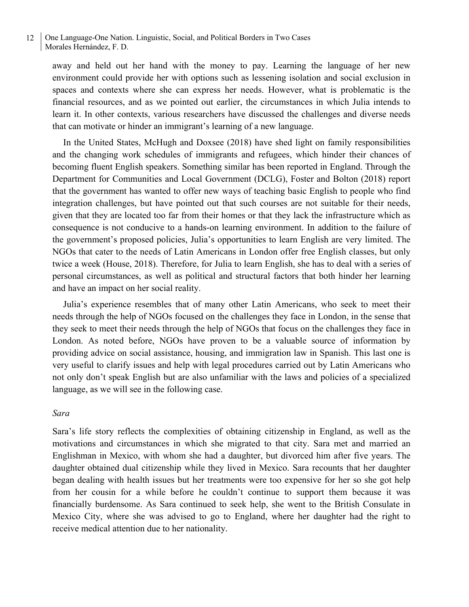away and held out her hand with the money to pay. Learning the language of her new environment could provide her with options such as lessening isolation and social exclusion in spaces and contexts where she can express her needs. However, what is problematic is the financial resources, and as we pointed out earlier, the circumstances in which Julia intends to learn it. In other contexts, various researchers have discussed the challenges and diverse needs that can motivate or hinder an immigrant's learning of a new language.

In the United States, McHugh and Doxsee (2018) have shed light on family responsibilities and the changing work schedules of immigrants and refugees, which hinder their chances of becoming fluent English speakers. Something similar has been reported in England. Through the Department for Communities and Local Government (DCLG), Foster and Bolton (2018) report that the government has wanted to offer new ways of teaching basic English to people who find integration challenges, but have pointed out that such courses are not suitable for their needs, given that they are located too far from their homes or that they lack the infrastructure which as consequence is not conducive to a hands-on learning environment. In addition to the failure of the government's proposed policies, Julia's opportunities to learn English are very limited. The NGOs that cater to the needs of Latin Americans in London offer free English classes, but only twice a week (House, 2018). Therefore, for Julia to learn English, she has to deal with a series of personal circumstances, as well as political and structural factors that both hinder her learning and have an impact on her social reality.

Julia's experience resembles that of many other Latin Americans, who seek to meet their needs through the help of NGOs focused on the challenges they face in London, in the sense that they seek to meet their needs through the help of NGOs that focus on the challenges they face in London. As noted before, NGOs have proven to be a valuable source of information by providing advice on social assistance, housing, and immigration law in Spanish. This last one is very useful to clarify issues and help with legal procedures carried out by Latin Americans who not only don't speak English but are also unfamiliar with the laws and policies of a specialized language, as we will see in the following case.

## *Sara*

Sara's life story reflects the complexities of obtaining citizenship in England, as well as the motivations and circumstances in which she migrated to that city. Sara met and married an Englishman in Mexico, with whom she had a daughter, but divorced him after five years. The daughter obtained dual citizenship while they lived in Mexico. Sara recounts that her daughter began dealing with health issues but her treatments were too expensive for her so she got help from her cousin for a while before he couldn't continue to support them because it was financially burdensome. As Sara continued to seek help, she went to the British Consulate in Mexico City, where she was advised to go to England, where her daughter had the right to receive medical attention due to her nationality.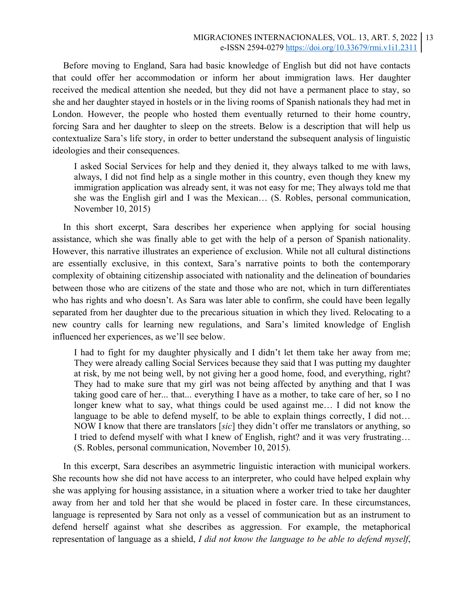Before moving to England, Sara had basic knowledge of English but did not have contacts that could offer her accommodation or inform her about immigration laws. Her daughter received the medical attention she needed, but they did not have a permanent place to stay, so she and her daughter stayed in hostels or in the living rooms of Spanish nationals they had met in London. However, the people who hosted them eventually returned to their home country, forcing Sara and her daughter to sleep on the streets. Below is a description that will help us contextualize Sara's life story, in order to better understand the subsequent analysis of linguistic ideologies and their consequences.

I asked Social Services for help and they denied it, they always talked to me with laws, always, I did not find help as a single mother in this country, even though they knew my immigration application was already sent, it was not easy for me; They always told me that she was the English girl and I was the Mexican… (S. Robles, personal communication, November 10, 2015)

In this short excerpt, Sara describes her experience when applying for social housing assistance, which she was finally able to get with the help of a person of Spanish nationality. However, this narrative illustrates an experience of exclusion. While not all cultural distinctions are essentially exclusive, in this context, Sara's narrative points to both the contemporary complexity of obtaining citizenship associated with nationality and the delineation of boundaries between those who are citizens of the state and those who are not, which in turn differentiates who has rights and who doesn't. As Sara was later able to confirm, she could have been legally separated from her daughter due to the precarious situation in which they lived. Relocating to a new country calls for learning new regulations, and Sara's limited knowledge of English influenced her experiences, as we'll see below.

I had to fight for my daughter physically and I didn't let them take her away from me; They were already calling Social Services because they said that I was putting my daughter at risk, by me not being well, by not giving her a good home, food, and everything, right? They had to make sure that my girl was not being affected by anything and that I was taking good care of her... that... everything I have as a mother, to take care of her, so I no longer knew what to say, what things could be used against me… I did not know the language to be able to defend myself, to be able to explain things correctly, I did not… NOW I know that there are translators [*sic*] they didn't offer me translators or anything, so I tried to defend myself with what I knew of English, right? and it was very frustrating… (S. Robles, personal communication, November 10, 2015).

In this excerpt, Sara describes an asymmetric linguistic interaction with municipal workers. She recounts how she did not have access to an interpreter, who could have helped explain why she was applying for housing assistance, in a situation where a worker tried to take her daughter away from her and told her that she would be placed in foster care. In these circumstances, language is represented by Sara not only as a vessel of communication but as an instrument to defend herself against what she describes as aggression. For example, the metaphorical representation of language as a shield, *I did not know the language to be able to defend myself*,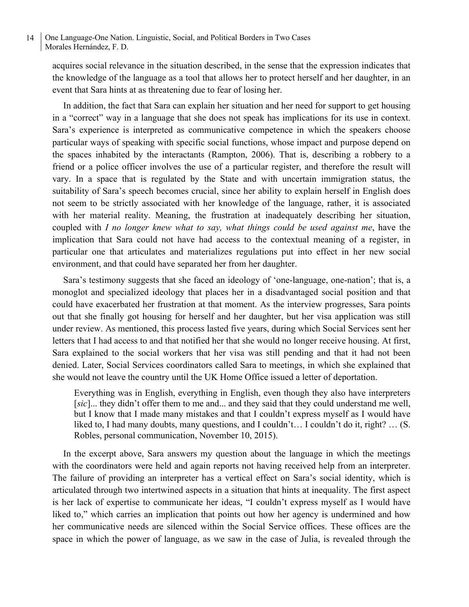acquires social relevance in the situation described, in the sense that the expression indicates that the knowledge of the language as a tool that allows her to protect herself and her daughter, in an event that Sara hints at as threatening due to fear of losing her.

In addition, the fact that Sara can explain her situation and her need for support to get housing in a "correct" way in a language that she does not speak has implications for its use in context. Sara's experience is interpreted as communicative competence in which the speakers choose particular ways of speaking with specific social functions, whose impact and purpose depend on the spaces inhabited by the interactants (Rampton, 2006). That is, describing a robbery to a friend or a police officer involves the use of a particular register, and therefore the result will vary. In a space that is regulated by the State and with uncertain immigration status, the suitability of Sara's speech becomes crucial, since her ability to explain herself in English does not seem to be strictly associated with her knowledge of the language, rather, it is associated with her material reality. Meaning, the frustration at inadequately describing her situation, coupled with *I no longer knew what to say, what things could be used against me*, have the implication that Sara could not have had access to the contextual meaning of a register, in particular one that articulates and materializes regulations put into effect in her new social environment, and that could have separated her from her daughter.

Sara's testimony suggests that she faced an ideology of 'one-language, one-nation'; that is, a monoglot and specialized ideology that places her in a disadvantaged social position and that could have exacerbated her frustration at that moment. As the interview progresses, Sara points out that she finally got housing for herself and her daughter, but her visa application was still under review. As mentioned, this process lasted five years, during which Social Services sent her letters that I had access to and that notified her that she would no longer receive housing. At first, Sara explained to the social workers that her visa was still pending and that it had not been denied. Later, Social Services coordinators called Sara to meetings, in which she explained that she would not leave the country until the UK Home Office issued a letter of deportation.

Everything was in English, everything in English, even though they also have interpreters [*sic*]... they didn't offer them to me and... and they said that they could understand me well, but I know that I made many mistakes and that I couldn't express myself as I would have liked to, I had many doubts, many questions, and I couldn't... I couldn't do it, right? ... (S. Robles, personal communication, November 10, 2015).

In the excerpt above, Sara answers my question about the language in which the meetings with the coordinators were held and again reports not having received help from an interpreter. The failure of providing an interpreter has a vertical effect on Sara's social identity, which is articulated through two intertwined aspects in a situation that hints at inequality. The first aspect is her lack of expertise to communicate her ideas, "I couldn't express myself as I would have liked to," which carries an implication that points out how her agency is undermined and how her communicative needs are silenced within the Social Service offices. These offices are the space in which the power of language, as we saw in the case of Julia, is revealed through the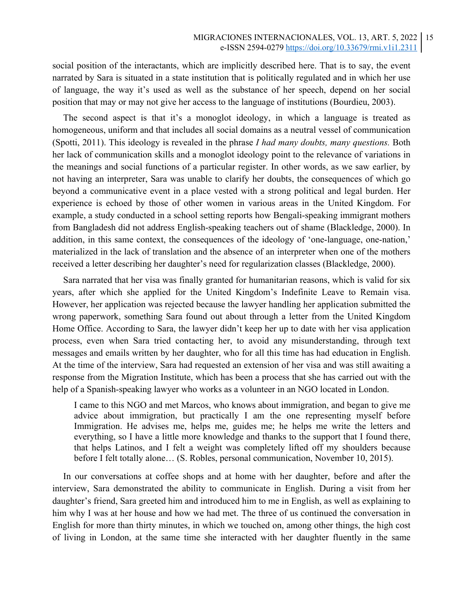social position of the interactants, which are implicitly described here. That is to say, the event narrated by Sara is situated in a state institution that is politically regulated and in which her use of language, the way it's used as well as the substance of her speech, depend on her social position that may or may not give her access to the language of institutions (Bourdieu, 2003).

The second aspect is that it's a monoglot ideology, in which a language is treated as homogeneous, uniform and that includes all social domains as a neutral vessel of communication (Spotti, 2011). This ideology is revealed in the phrase *I had many doubts, many questions.* Both her lack of communication skills and a monoglot ideology point to the relevance of variations in the meanings and social functions of a particular register. In other words, as we saw earlier, by not having an interpreter, Sara was unable to clarify her doubts, the consequences of which go beyond a communicative event in a place vested with a strong political and legal burden. Her experience is echoed by those of other women in various areas in the United Kingdom. For example, a study conducted in a school setting reports how Bengali-speaking immigrant mothers from Bangladesh did not address English-speaking teachers out of shame (Blackledge, 2000). In addition, in this same context, the consequences of the ideology of 'one-language, one-nation,' materialized in the lack of translation and the absence of an interpreter when one of the mothers received a letter describing her daughter's need for regularization classes (Blackledge, 2000).

Sara narrated that her visa was finally granted for humanitarian reasons, which is valid for six years, after which she applied for the United Kingdom's Indefinite Leave to Remain visa. However, her application was rejected because the lawyer handling her application submitted the wrong paperwork, something Sara found out about through a letter from the United Kingdom Home Office. According to Sara, the lawyer didn't keep her up to date with her visa application process, even when Sara tried contacting her, to avoid any misunderstanding, through text messages and emails written by her daughter, who for all this time has had education in English. At the time of the interview, Sara had requested an extension of her visa and was still awaiting a response from the Migration Institute, which has been a process that she has carried out with the help of a Spanish-speaking lawyer who works as a volunteer in an NGO located in London.

I came to this NGO and met Marcos, who knows about immigration, and began to give me advice about immigration, but practically I am the one representing myself before Immigration. He advises me, helps me, guides me; he helps me write the letters and everything, so I have a little more knowledge and thanks to the support that I found there, that helps Latinos, and I felt a weight was completely lifted off my shoulders because before I felt totally alone… (S. Robles, personal communication, November 10, 2015).

In our conversations at coffee shops and at home with her daughter, before and after the interview, Sara demonstrated the ability to communicate in English. During a visit from her daughter's friend, Sara greeted him and introduced him to me in English, as well as explaining to him why I was at her house and how we had met. The three of us continued the conversation in English for more than thirty minutes, in which we touched on, among other things, the high cost of living in London, at the same time she interacted with her daughter fluently in the same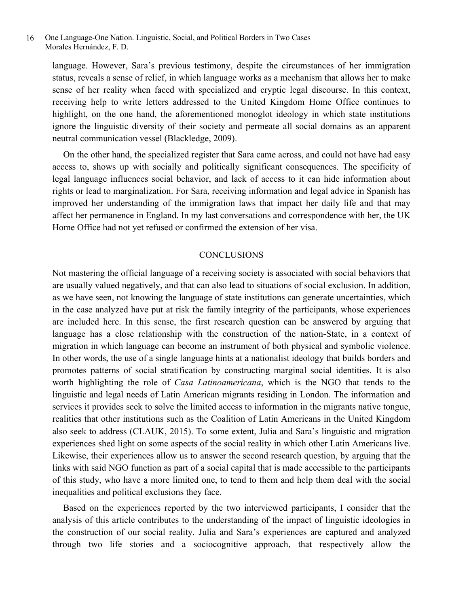language. However, Sara's previous testimony, despite the circumstances of her immigration status, reveals a sense of relief, in which language works as a mechanism that allows her to make sense of her reality when faced with specialized and cryptic legal discourse. In this context, receiving help to write letters addressed to the United Kingdom Home Office continues to highlight, on the one hand, the aforementioned monoglot ideology in which state institutions ignore the linguistic diversity of their society and permeate all social domains as an apparent neutral communication vessel (Blackledge, 2009).

On the other hand, the specialized register that Sara came across, and could not have had easy access to, shows up with socially and politically significant consequences. The specificity of legal language influences social behavior, and lack of access to it can hide information about rights or lead to marginalization. For Sara, receiving information and legal advice in Spanish has improved her understanding of the immigration laws that impact her daily life and that may affect her permanence in England. In my last conversations and correspondence with her, the UK Home Office had not yet refused or confirmed the extension of her visa.

### **CONCLUSIONS**

Not mastering the official language of a receiving society is associated with social behaviors that are usually valued negatively, and that can also lead to situations of social exclusion. In addition, as we have seen, not knowing the language of state institutions can generate uncertainties, which in the case analyzed have put at risk the family integrity of the participants, whose experiences are included here. In this sense, the first research question can be answered by arguing that language has a close relationship with the construction of the nation-State, in a context of migration in which language can become an instrument of both physical and symbolic violence. In other words, the use of a single language hints at a nationalist ideology that builds borders and promotes patterns of social stratification by constructing marginal social identities. It is also worth highlighting the role of *Casa Latinoamericana*, which is the NGO that tends to the linguistic and legal needs of Latin American migrants residing in London. The information and services it provides seek to solve the limited access to information in the migrants native tongue, realities that other institutions such as the Coalition of Latin Americans in the United Kingdom also seek to address (CLAUK, 2015). To some extent, Julia and Sara's linguistic and migration experiences shed light on some aspects of the social reality in which other Latin Americans live. Likewise, their experiences allow us to answer the second research question, by arguing that the links with said NGO function as part of a social capital that is made accessible to the participants of this study, who have a more limited one, to tend to them and help them deal with the social inequalities and political exclusions they face.

Based on the experiences reported by the two interviewed participants, I consider that the analysis of this article contributes to the understanding of the impact of linguistic ideologies in the construction of our social reality. Julia and Sara's experiences are captured and analyzed through two life stories and a sociocognitive approach, that respectively allow the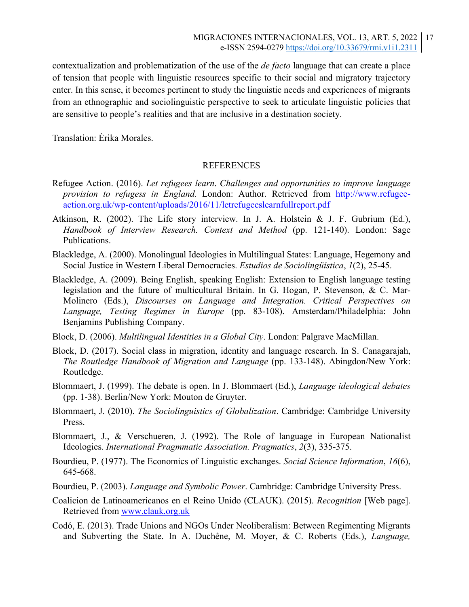contextualization and problematization of the use of the *de facto* language that can create a place of tension that people with linguistic resources specific to their social and migratory trajectory enter. In this sense, it becomes pertinent to study the linguistic needs and experiences of migrants from an ethnographic and sociolinguistic perspective to seek to articulate linguistic policies that are sensitive to people's realities and that are inclusive in a destination society.

Translation: Érika Morales.

### REFERENCES

- Refugee Action. (2016). *Let refugees learn*. *Challenges and opportunities to improve language provision to refugess in England.* London: Author. Retrieved from http://www.refugeeaction.org.uk/wp-content/uploads/2016/11/letrefugeeslearnfullreport.pdf
- Atkinson, R. (2002). The Life story interview. In J. A. Holstein & J. F. Gubrium (Ed.), *Handbook of Interview Research. Context and Method* (pp. 121-140). London: Sage Publications.
- Blackledge, A. (2000). Monolingual Ideologies in Multilingual States: Language, Hegemony and Social Justice in Western Liberal Democracies. *Estudios de Sociolingüística*, *1*(2), 25-45.
- Blackledge, A. (2009). Being English, speaking English: Extension to English language testing legislation and the future of multicultural Britain. In G. Hogan, P. Stevenson, & C. Mar-Molinero (Eds.), *Discourses on Language and Integration. Critical Perspectives on Language, Testing Regimes in Europe* (pp. 83-108). Amsterdam/Philadelphia: John Benjamins Publishing Company.
- Block, D. (2006). *Multilingual Identities in a Global City*. London: Palgrave MacMillan.
- Block, D. (2017). Social class in migration, identity and language research. In S. Canagarajah, *The Routledge Handbook of Migration and Language* (pp. 133-148). Abingdon/New York: Routledge.
- Blommaert, J. (1999). The debate is open. In J. Blommaert (Ed.), *Language ideological debates* (pp. 1-38). Berlin/New York: Mouton de Gruyter.
- Blommaert, J. (2010). *The Sociolinguistics of Globalization*. Cambridge: Cambridge University Press.
- Blommaert, J., & Verschueren, J. (1992). The Role of language in European Nationalist Ideologies. *International Pragmmatic Association. Pragmatics*, *2*(3), 335-375.
- Bourdieu, P. (1977). The Economics of Linguistic exchanges. *Social Science Information*, *16*(6), 645-668.
- Bourdieu, P. (2003). *Language and Symbolic Power*. Cambridge: Cambridge University Press.
- Coalicion de Latinoamericanos en el Reino Unido (CLAUK). (2015). *Recognition* [Web page]. Retrieved from www.clauk.org.uk
- Codó, E. (2013). Trade Unions and NGOs Under Neoliberalism: Between Regimenting Migrants and Subverting the State. In A. Duchêne, M. Moyer, & C. Roberts (Eds.), *Language,*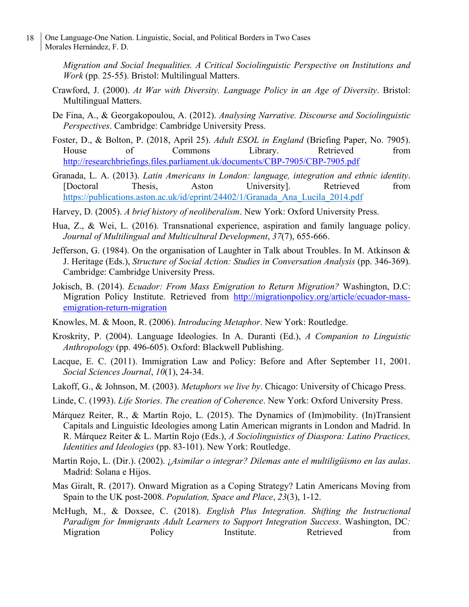*Migration and Social Inequalities. A Critical Sociolinguistic Perspective on Institutions and Work* (pp. 25-55). Bristol: Multilingual Matters.

- Crawford, J. (2000). *At War with Diversity. Language Policy in an Age of Diversity*. Bristol: Multilingual Matters.
- De Fina, A., & Georgakopoulou, A. (2012). *Analysing Narrative. Discourse and Sociolinguistic Perspectives*. Cambridge: Cambridge University Press.
- Foster, D., & Bolton, P. (2018, April 25). *Adult ESOL in England* (Briefing Paper, No. 7905). House of Commons Library. Retrieved from http://researchbriefings.files.parliament.uk/documents/CBP-7905/CBP-7905.pdf
- Granada, L. A. (2013). *Latin Americans in London: language, integration and ethnic identity*. [Doctoral Thesis, Aston University]. Retrieved from https://publications.aston.ac.uk/id/eprint/24402/1/Granada\_Ana\_Lucila\_2014.pdf
- Harvey, D. (2005). *A brief history of neoliberalism*. New York: Oxford University Press.
- Hua, Z., & Wei, L. (2016). Transnational experience, aspiration and family language policy. *Journal of Multilingual and Multicultural Development*, *37*(7), 655-666.
- Jefferson, G. (1984). On the organisation of Laughter in Talk about Troubles. In M. Atkinson & J. Heritage (Eds.), *Structure of Social Action: Studies in Conversation Analysis* (pp. 346-369). Cambridge: Cambridge University Press.
- Jokisch, B. (2014). *Ecuador: From Mass Emigration to Return Migration?* Washington, D.C: Migration Policy Institute. Retrieved from http://migrationpolicy.org/article/ecuador-massemigration-return-migration
- Knowles, M. & Moon, R. (2006). *Introducing Metaphor*. New York: Routledge.
- Kroskrity, P. (2004). Language Ideologies. In A. Duranti (Ed.), *A Companion to Linguistic Anthropology* (pp. 496-605). Oxford: Blackwell Publishing.
- Lacque, E. C. (2011). Immigration Law and Policy: Before and After September 11, 2001. *Social Sciences Journal*, *10*(1), 24-34.
- Lakoff, G., & Johnson, M. (2003). *Metaphors we live by*. Chicago: University of Chicago Press.
- Linde, C. (1993). *Life Stories. The creation of Coherence*. New York: Oxford University Press.
- Márquez Reiter, R., & Martín Rojo, L. (2015). The Dynamics of (Im)mobility. (In)Transient Capitals and Linguistic Ideologies among Latin American migrants in London and Madrid. In R. Márquez Reiter & L. Martín Rojo (Eds.), *A Sociolinguistics of Diaspora: Latino Practices, Identities and Ideologies* (pp. 83-101). New York: Routledge.
- Martín Rojo, L. (Dir.). (2002). ¿*Asimilar o integrar? Dilemas ante el multiligüismo en las aulas*. Madrid: Solana e Hijos.
- Mas Giralt, R. (2017). Onward Migration as a Coping Strategy? Latin Americans Moving from Spain to the UK post-2008. *Population, Space and Place*, *23*(3), 1-12.
- McHugh, M., & Doxsee, C. (2018). *English Plus Integration. Shifting the Instructional Paradigm for Immigrants Adult Learners to Support Integration Success*. Washington, DC*:*  Migration Policy Institute. Retrieved from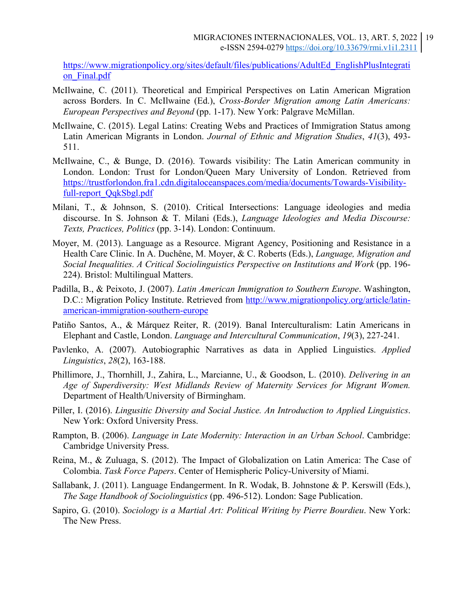https://www.migrationpolicy.org/sites/default/files/publications/AdultEd\_EnglishPlusIntegrati on Final.pdf

- McIlwaine, C. (2011). Theoretical and Empirical Perspectives on Latin American Migration across Borders. In C. McIlwaine (Ed.), *Cross-Border Migration among Latin Americans: European Perspectives and Beyond* (pp. 1-17). New York: Palgrave McMillan.
- McIlwaine, C. (2015). Legal Latins: Creating Webs and Practices of Immigration Status among Latin American Migrants in London. *Journal of Ethnic and Migration Studies*, *41*(3), 493- 511.
- McIlwaine, C., & Bunge, D. (2016). Towards visibility: The Latin American community in London. London: Trust for London/Queen Mary University of London. Retrieved from https://trustforlondon.fra1.cdn.digitaloceanspaces.com/media/documents/Towards-Visibilityfull-report\_QqkSbgl.pdf
- Milani, T., & Johnson, S. (2010). Critical Intersections: Language ideologies and media discourse. In S. Johnson & T. Milani (Eds.), *Language Ideologies and Media Discourse: Texts, Practices, Politics* (pp. 3-14). London: Continuum.
- Moyer, M. (2013). Language as a Resource. Migrant Agency, Positioning and Resistance in a Health Care Clinic. In A. Duchêne, M. Moyer, & C. Roberts (Eds.), *Language, Migration and Social Inequalities. A Critical Sociolinguistics Perspective on Institutions and Work* (pp. 196- 224). Bristol: Multilingual Matters.
- Padilla, B., & Peixoto, J. (2007). *Latin American Immigration to Southern Europe*. Washington, D.C.: Migration Policy Institute. Retrieved from http://www.migrationpolicy.org/article/latinamerican-immigration-southern-europe
- Patiño Santos, A., & Márquez Reiter, R. (2019). Banal Interculturalism: Latin Americans in Elephant and Castle, London. *Language and Intercultural Communication*, *19*(3), 227-241.
- Pavlenko, A. (2007). Autobiographic Narratives as data in Applied Linguistics. *Applied Linguistics*, *28*(2), 163-188.
- Phillimore, J., Thornhill, J., Zahira, L., Marcianne, U., & Goodson, L. (2010). *Delivering in an Age of Superdiversity: West Midlands Review of Maternity Services for Migrant Women.*  Department of Health/University of Birmingham.
- Piller, I. (2016). *Lingusitic Diversity and Social Justice. An Introduction to Applied Linguistics*. New York: Oxford University Press.
- Rampton, B. (2006). *Language in Late Modernity: Interaction in an Urban School*. Cambridge: Cambridge University Press.
- Reina, M., & Zuluaga, S. (2012). The Impact of Globalization on Latin America: The Case of Colombia. *Task Force Papers*. Center of Hemispheric Policy-University of Miami.
- Sallabank, J. (2011). Language Endangerment. In R. Wodak, B. Johnstone & P. Kerswill (Eds.), *The Sage Handbook of Sociolinguistics* (pp. 496-512). London: Sage Publication.
- Sapiro, G. (2010). *Sociology is a Martial Art: Political Writing by Pierre Bourdieu*. New York: The New Press.